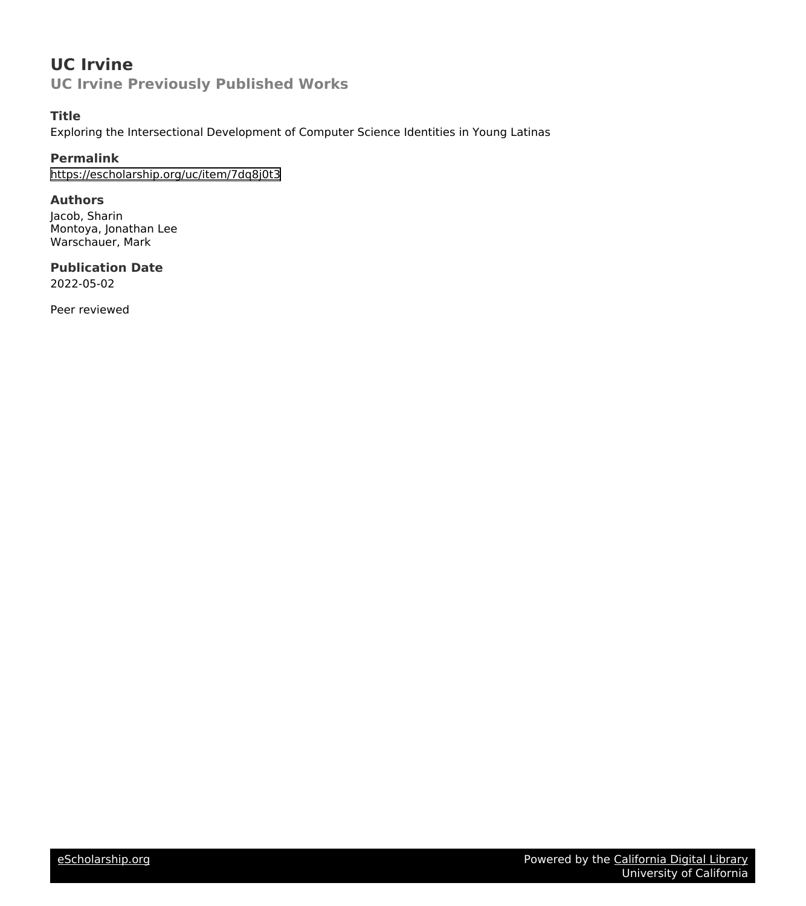# **UC Irvine**

**UC Irvine Previously Published Works**

## **Title**

Exploring the Intersectional Development of Computer Science Identities in Young Latinas

## **Permalink**

<https://escholarship.org/uc/item/7dq8j0t3>

## **Authors**

Jacob, Sharin Montoya, Jonathan Lee Warschauer, Mark

## **Publication Date**

2022-05-02

Peer reviewed